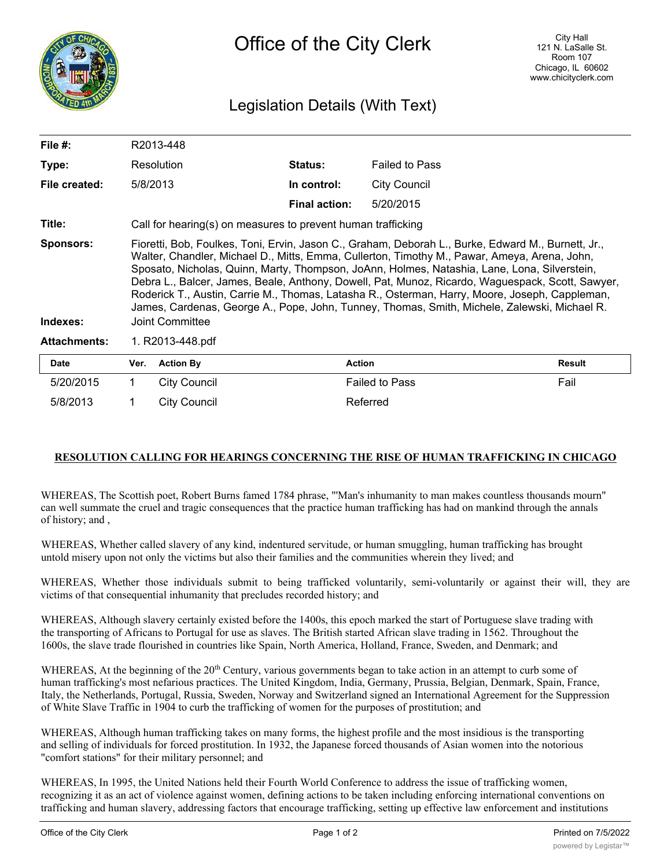

## Legislation Details (With Text)

| File $#$ :                   | R2013-448                                                                                                                                                                                                                                                                                                                                                                                                                                                                                                                                                                                                                   |                                                              |                      |                       |               |  |
|------------------------------|-----------------------------------------------------------------------------------------------------------------------------------------------------------------------------------------------------------------------------------------------------------------------------------------------------------------------------------------------------------------------------------------------------------------------------------------------------------------------------------------------------------------------------------------------------------------------------------------------------------------------------|--------------------------------------------------------------|----------------------|-----------------------|---------------|--|
| Type:                        | Resolution                                                                                                                                                                                                                                                                                                                                                                                                                                                                                                                                                                                                                  |                                                              | <b>Status:</b>       | <b>Failed to Pass</b> |               |  |
| File created:                | 5/8/2013                                                                                                                                                                                                                                                                                                                                                                                                                                                                                                                                                                                                                    |                                                              | In control:          | <b>City Council</b>   |               |  |
|                              |                                                                                                                                                                                                                                                                                                                                                                                                                                                                                                                                                                                                                             |                                                              | <b>Final action:</b> | 5/20/2015             |               |  |
| Title:                       |                                                                                                                                                                                                                                                                                                                                                                                                                                                                                                                                                                                                                             | Call for hearing(s) on measures to prevent human trafficking |                      |                       |               |  |
| <b>Sponsors:</b><br>Indexes: | Fioretti, Bob, Foulkes, Toni, Ervin, Jason C., Graham, Deborah L., Burke, Edward M., Burnett, Jr.,<br>Walter, Chandler, Michael D., Mitts, Emma, Cullerton, Timothy M., Pawar, Ameya, Arena, John,<br>Sposato, Nicholas, Quinn, Marty, Thompson, JoAnn, Holmes, Natashia, Lane, Lona, Silverstein,<br>Debra L., Balcer, James, Beale, Anthony, Dowell, Pat, Munoz, Ricardo, Waguespack, Scott, Sawyer,<br>Roderick T., Austin, Carrie M., Thomas, Latasha R., Osterman, Harry, Moore, Joseph, Cappleman,<br>James, Cardenas, George A., Pope, John, Tunney, Thomas, Smith, Michele, Zalewski, Michael R.<br>Joint Committee |                                                              |                      |                       |               |  |
| <b>Attachments:</b>          | 1. R2013-448.pdf                                                                                                                                                                                                                                                                                                                                                                                                                                                                                                                                                                                                            |                                                              |                      |                       |               |  |
| <b>Date</b>                  | Ver.                                                                                                                                                                                                                                                                                                                                                                                                                                                                                                                                                                                                                        | <b>Action By</b>                                             | <b>Action</b>        |                       | <b>Result</b> |  |
| 5/20/2015                    |                                                                                                                                                                                                                                                                                                                                                                                                                                                                                                                                                                                                                             | City Council                                                 |                      | <b>Failed to Pass</b> | Fail          |  |

## **RESOLUTION CALLING FOR HEARINGS CONCERNING THE RISE OF HUMAN TRAFFICKING IN CHICAGO**

WHEREAS, The Scottish poet, Robert Burns famed 1784 phrase, "'Man's inhumanity to man makes countless thousands mourn" can well summate the cruel and tragic consequences that the practice human trafficking has had on mankind through the annals of history; and ,

WHEREAS, Whether called slavery of any kind, indentured servitude, or human smuggling, human trafficking has brought untold misery upon not only the victims but also their families and the communities wherein they lived; and

5/8/2013 1 City Council 2008 2013 Referred

WHEREAS, Whether those individuals submit to being trafficked voluntarily, semi-voluntarily or against their will, they are victims of that consequential inhumanity that precludes recorded history; and

WHEREAS, Although slavery certainly existed before the 1400s, this epoch marked the start of Portuguese slave trading with the transporting of Africans to Portugal for use as slaves. The British started African slave trading in 1562. Throughout the 1600s, the slave trade flourished in countries like Spain, North America, Holland, France, Sweden, and Denmark; and

WHEREAS, At the beginning of the 20<sup>th</sup> Century, various governments began to take action in an attempt to curb some of human trafficking's most nefarious practices. The United Kingdom, India, Germany, Prussia, Belgian, Denmark, Spain, France, Italy, the Netherlands, Portugal, Russia, Sweden, Norway and Switzerland signed an International Agreement for the Suppression of White Slave Traffic in 1904 to curb the trafficking of women for the purposes of prostitution; and

WHEREAS, Although human trafficking takes on many forms, the highest profile and the most insidious is the transporting and selling of individuals for forced prostitution. In 1932, the Japanese forced thousands of Asian women into the notorious "comfort stations" for their military personnel; and

WHEREAS, In 1995, the United Nations held their Fourth World Conference to address the issue of trafficking women, recognizing it as an act of violence against women, defining actions to be taken including enforcing international conventions on trafficking and human slavery, addressing factors that encourage trafficking, setting up effective law enforcement and institutions